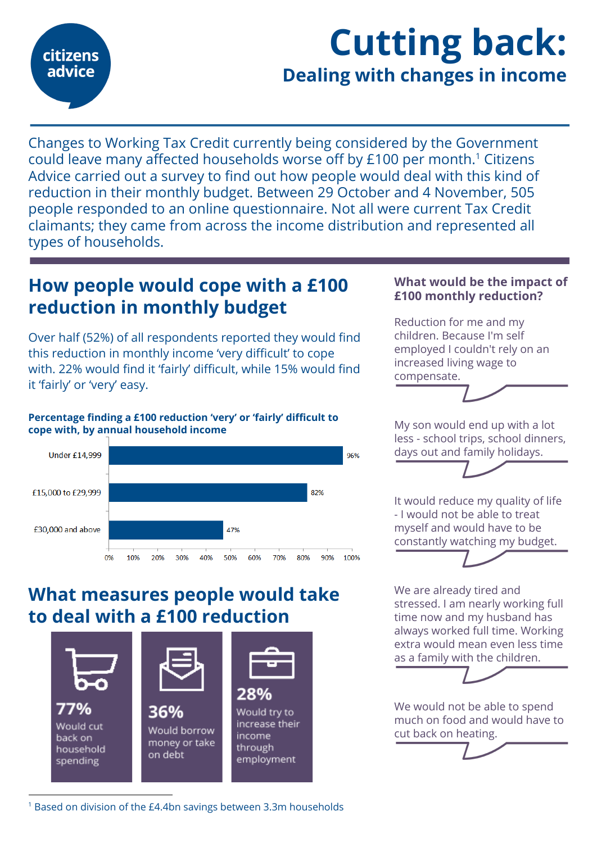

# Cutting back: Dealing with changes in income

Changes to Working Tax Credit currently being considered by the Government could leave many affected households worse off by £100 per month.<sup>1</sup> Citizens Advice carried out a survey to find out how people would deal with this kind of reduction in their monthly budget. Between 29 October and 4 November, 505 people responded to an online questionnaire. Not all were current Tax Credit claimants; they came from across the income distribution and represented all types of households.

# How people would cope with a £100 reduction in monthly budget

Over half (52%) of all respondents reported they would find this reduction in monthly income 'very difficult' to cope with. 22% would find it 'fairly' difficult, while 15% would find it 'fairly' or 'very' easy.

#### Percentage finding a £100 reduction 'very' or 'fairly' difficult to cope with, by annual household income



## What measures people would take to deal with a £100 reduction



### £100 monthly reduction? Reduction for me and my

children. Because I'm self employed I couldn't rely on an increased living wage to compensate.

What would be the impact of

My son would end up with a lot less - school trips, school dinners, days out and family holidays.

It would reduce my quality of life - I would not be able to treat myself and would have to be constantly watching my budget.



We are already tired and stressed. I am nearly working full time now and my husband has always worked full time. Working extra would mean even less time as a family with the children.

We would not be able to spend much on food and would have to cut back on heating.

<sup>1</sup> Based on division of the £4.4bn savings between 3.3m households